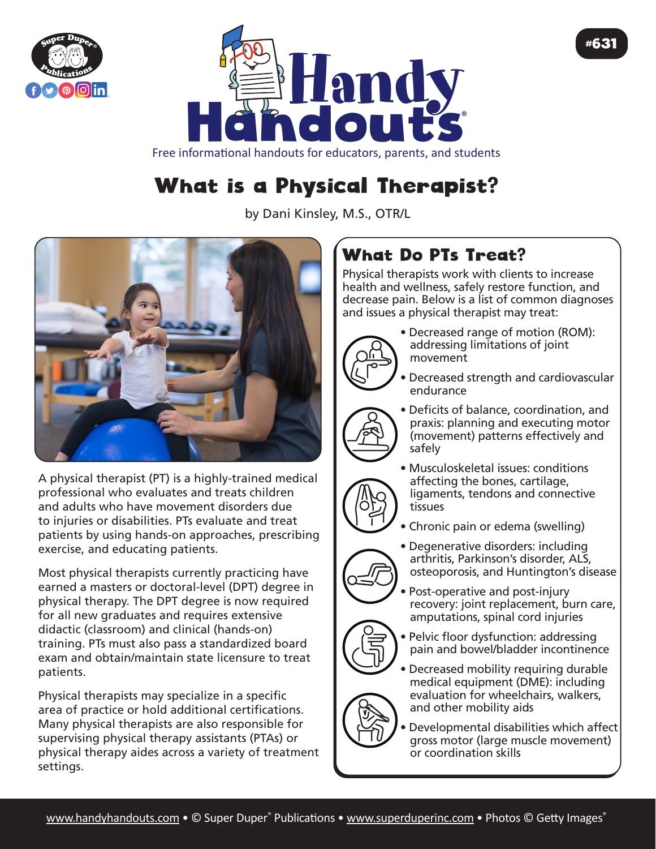



#### Free informational handouts for educators, parents, and students

# What is a Physical Therapist?

by Dani Kinsley, M.S., OTR/L



A physical therapist (PT) is a highly-trained medical professional who evaluates and treats children and adults who have movement disorders due to injuries or disabilities. PTs evaluate and treat patients by using hands-on approaches, prescribing exercise, and educating patients.

Most physical therapists currently practicing have earned a masters or doctoral-level (DPT) degree in physical therapy. The DPT degree is now required for all new graduates and requires extensive didactic (classroom) and clinical (hands-on) training. PTs must also pass a standardized board exam and obtain/maintain state licensure to treat patients.

Physical therapists may specialize in a specific area of practice or hold additional certifications. Many physical therapists are also responsible for supervising physical therapy assistants (PTAs) or physical therapy aides across a variety of treatment settings.

## What Do PTs Treat?

Physical therapists work with clients to increase health and wellness, safely restore function, and decrease pain. Below is a list of common diagnoses and issues a physical therapist may treat:



• Decreased range of motion (ROM): addressing limitations of joint movement

#631

- Decreased strength and cardiovascular endurance
- Deficits of balance, coordination, and praxis: planning and executing motor (movement) patterns effectively and safely
- Musculoskeletal issues: conditions affecting the bones, cartilage, ligaments, tendons and connective tissues
- Chronic pain or edema (swelling)
- Degenerative disorders: including arthritis, Parkinson's disorder, ALS, osteoporosis, and Huntington's disease
- Post-operative and post-injury recovery: joint replacement, burn care, amputations, spinal cord injuries
- Pelvic floor dysfunction: addressing pain and bowel/bladder incontinence
- Decreased mobility requiring durable medical equipment (DME): including evaluation for wheelchairs, walkers, and other mobility aids
- Developmental disabilities which affect gross motor (large muscle movement) or coordination skills